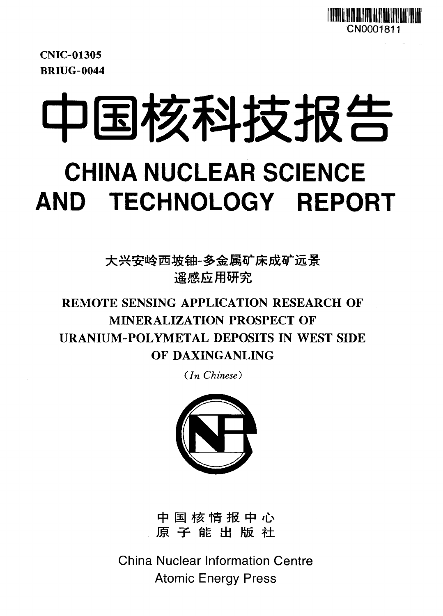

CNIC-01305 BRIUG-0044

中国核科技报告

# **CHINA NUCLEAR SCIENCE AND TECHNOLOGY REPORT**

大兴安岭西坡铀-多金属矿床成矿远景 谣感应用研究

## REMOTE SENSING APPLICATION RESEARCH OF MINERALIZATION PROSPECT OF URANIUM-POLYMETAL DEPOSITS IN WEST SIDE OF DAXINGANLING

*(In Chinese)*



中国核情报中心 原子能出版社

China Nuclear Information Centre Atomic Energy Press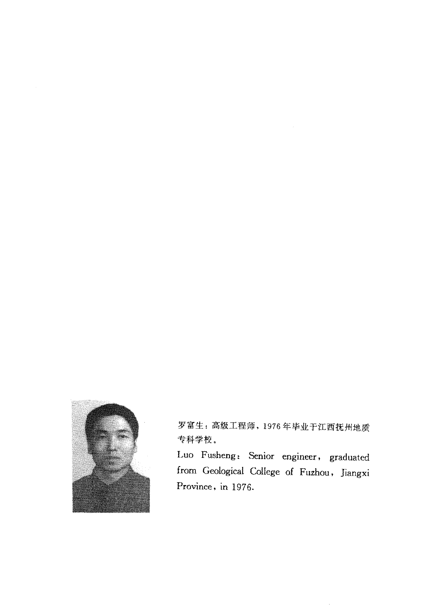

罗富生:高级工程师,1976年毕业于江西抚州地质 专科学校。

Luo Fusheng: Senior engineer, graduated from Geological College of Fuzhou, Jiangxi Province, in 1976.

 $\bar{z}$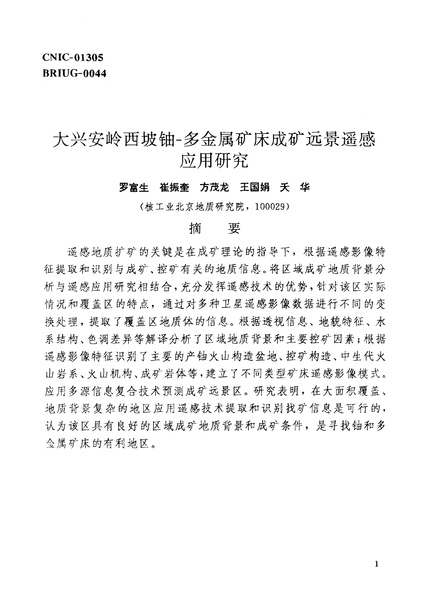## **CNIC-01305 BRIUG-0044**

## 大兴安岭西坡铀-多金属矿床成矿远景谣感 应用研究

## 罗富生 崔振奎 方茂龙 王国娟 夭 华

(核工业北京地质研究院, 100029)

#### 摘 要

遥感地质扩矿的关键是在成矿理论的指导下,根据遥感影像特 征提取和识别与成矿、控矿有关的地质信息。将区域成矿地质背景分 析与遥感应用研究相结合,充分发挥遥感技术的优势,针对该区实际 情况和覆盖区的特点,通过对多种卫星遥感影像数据进行不同的变 换处理,提取了覆盖区地质体的信息。根据透视信息、地貌特征、水 系结构、色调差异等解译分析了区域地质背景和主要控矿因素;根据 谣感影像特征识别了主要的产铀火山构造盆地、控矿构造、中生代火 山岩系、火山机构、成矿岩体等,建立了不同类型矿床遥感影像模式。 应用多源信息复合技术预测成矿远景区。研究表明,在大面积覆盖、 地质背景复杂的地区应用遥感技术提取和识别找矿信息是可行的, 认为该区具有良好的区域成矿地质背景和成矿条件,是寻找铀和多 金属矿床的有利地区。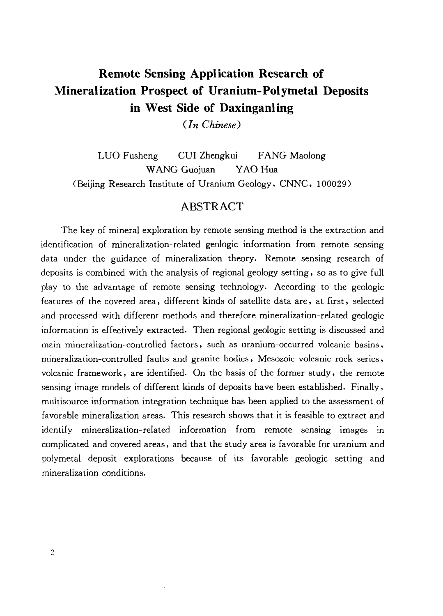## Remote Sensing Application Research of Mineralization Prospect of Uranium-Polymetal Deposits in West Side of Daxinganling

*{In Chinese)*

LUO Fusheng CUI Zhengkui FANG Maolong WANG Guojuan YAO Hua (Beijing Research Institute of Uranium Geology, CNNC, 100029)

## **ABSTRACT**

The key of mineral exploration by remote sensing method is the extraction and identification of mineralization-related geologic information from remote sensing data under the guidance of mineralization theory. Remote sensing research of deposits is combined with the analysis of regional geology setting, so as to give full play to the advantage of remote sensing technology. According to the geologic features of the covered area, different kinds of satellite data are, at first, selected and processed with different methods and therefore mineralization-related geologic information is effectively extracted. Then regional geologic setting is discussed and main mineralization-controlled factors, such as uranium-occurred volcanic basins, mineralization-controlled faults and granite bodies, Mesozoic volcanic rock series, volcanic framework, are identified. On the basis of the former study, the remote sensing image models of different kinds of deposits have been established. Finally, multisource information integration technique has been applied to the assessment of favorable mineralization areas. This research shows that it is feasible to extract and identify mineralization-related information from remote sensing images in complicated and covered areas, and that the study area is favorable for uranium and polymetal deposit explorations because of its favorable geologic setting and mineralization conditions.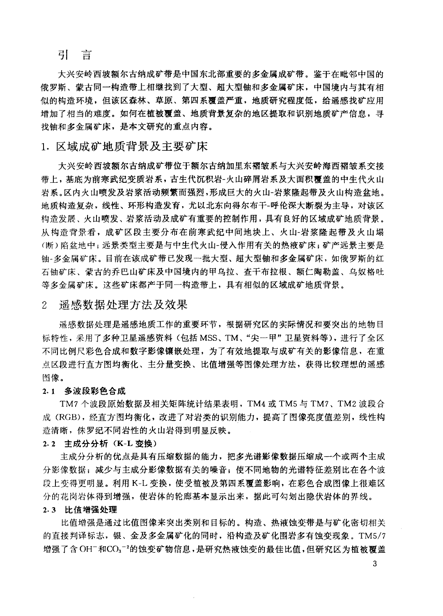## 引 言

大兴安岭西坡额尔古纳成矿带是中国东北部重要的多金属成矿带。鉴于在毗邻中国的 俄罗斯、蒙古同一构造带上相继找到了大型、超大型铀和多金属矿床,中国境内与其有相 似的构造环境,但该区森林、草原、第四系覆盖严重,地质研究程度低,给谣感找矿应用 增加了相当的难度。如何在植被覆盖、地质背景复杂的地区提取和识别地质矿产信息,寻 找铀和多金属矿床, 是本文研究的重点内容。

## 1. 区域成矿地质背景及主要矿床

大兴安岭西坡额尔古纳成矿带位于额尔古纳加里东褶皱系与大兴安岭海西褶皱系交接 带上,基底为前寒武纪变质岩系,古生代沉积岩-火山碎屑岩系及大面积覆盖的中生代火山 岩系。区内火山喷发及岩浆活动频繁而强烈,形成巨大的火山-岩浆降起带及火山构造盆地。 地质构造复杂,线性、环形构造发育,尤以北东向得尔布干-呼伦深大断裂为主导,对该区 构造发展、火山喷发、岩浆活动及成矿有重要的控制作用,具有良好的区域成矿地质背景。 从构造背景看, 成矿区段主要分布在前寒武纪中间地块上、火山-岩浆降起带及火山塌 (断) 陷盆地中; 远景类型主要是与中生代火山-侵入作用有关的热液矿床; 矿产远景主要是 铀-多金属矿床。目前在该成矿带已发现一批大型、超大型铀和多金属矿床,如俄罗斯的红 石铀矿床、蒙古的乔巴山矿床及中国境内的甲乌拉、查干布拉根、额仁陶勒盖、乌奴格吐 等多金属矿床。这些矿床都产于同一构造带上,具有相似的区域成矿地质背景。

#### $\overline{2}$ 谣感数据处理方法及效果

谣感数据处理是遥感地质工作的重要环节,根据研究区的实际情况和要突出的地物目 标特性,采用了多种卫星遥感资料(包括MSS、TM、"尖一甲"卫星资料等),进行了全区 不同比例尺彩色合成和数字影像镶嵌处理,为了有效地提取与成矿有关的影像信息,在重 点区段进行直方图均衡化、主分量变换、比值增强等图像处理方法,获得比较理想的遥感 图像。

## 2.1 多波段彩色合成

TM7 个波段原始数据及相关矩阵统计结果表明, TM4 或 TM5 与 TM7、TM2 波段合 成(RGB),经直方图均衡化,改进了对岩类的识别能力,提高了图像亮度值差别,线性构 造清晰, 侏罗纪不同岩性的火山岩得到明显反映。

## 2.2 主成分分析 (K-L 变换)

主成分分析的优点是具有压缩数据的能力,把多光谱影像数据压缩成一个或两个主成 分影像数据; 减少与主成分影像数据有关的噪音; 使不同地物的光谱特征差别比在各个波 段上变得更明显。利用 K-L 变换, 使受植被及第四系覆盖影响, 在彩色合成图像上很难区 分的花岗岩体得到增强,使岩体的轮廊基本显示出来,据此可勾划出隐伏岩体的界线。

## 2.3 比值增强处理

比值增强是通过比值图像来突出类别和目标的。构造、热液蚀变带是与矿化密切相关 的直接判译标志,银、金及多金属矿化的同时,沿构造及矿化围岩多有蚀变现象。TM5/7 增强了含OH<sup>-</sup>和CO<sub>3</sub>-2的蚀变矿物信息,是研究热液蚀变的最佳比值,但研究区为植被覆盖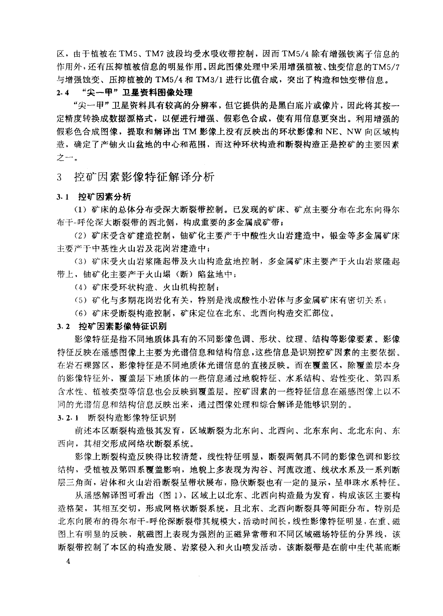区, 由于植被在 TM5、TM7 波段均受水吸收带控制, 因而 TM5/4 除有增强铁离子信息的 作用外,还有压抑植被信息的明显作用。因此图像处理中采用增强植被、蚀变信息的TM5/7 与增强蚀变、压抑植被的 TM5/4 和 TM3/1 进行比值合成, 突出了构造和蚀变带信息。

#### "尖一甲"卫星资料图像处理  $2.4$

"尖一甲"卫星资料具有较高的分辨率,但它提供的是黑白底片或像片,因此将其按一 定精度转换成数据源格式,以便讲行增强、假彩色合成,使有用信息更突出。利用增强的 假彩色合成图像, 提取和解译出 TM 影像上没有反映出的环状影像和 NE、NW 向区域构 造,确定了产铀火山盆地的中心和范围,而这种环状构造和断裂构造正是控矿的主要因素 之一。

 $3<sup>1</sup>$ 控矿因素影像特征解译分析

## 3.1 控矿因素分析

(1) 矿床的总体分布受深大断裂带控制。已发现的矿床、矿点主要分布在北东向得尔 布干-呼伦深大断裂带的西北侧,构成重要的多金属成矿带;

(2) 矿床受含矿建造控制,铀矿化主要产于中酸性火山岩建造中,银金等多金属矿床 主要产于中基性火山岩及花岗岩建造中;

(3) 矿床受火山岩浆降起带及火山构造盆地控制,多金属矿床主要产于火山岩浆降起 带上, 铀矿化主要产于火山塌(断)陷盆地中;

(4) 矿床受环状构造、火山机构控制;

(5) 矿化与多期花岗岩化有关, 特别是浅成酸性小岩体与多金属矿床有密切关系;

(6) 矿床受断裂构造控制, 矿床定位在北东、北西向构造交汇部位。

### 3.2 控矿因素影像特征识别

影像特征是指不同地质体具有的不同影像色调、形状、纹理、结构等影像要素。影像 特征反映在遥感图像上主要为光谱信息和结构信息,这些信息是识别控矿因素的主要依据。 在岩石裸露区,影像特征是不同地质体光谱信息的直接反映。而在覆盖区,除覆盖层本身 的影像特征外, 覆盖层下地质体的一些信息通过地貌特征、水系结构、岩性变化、第四系 含水性、植被类型等信息也会反映到覆盖层。控矿因素的一些特征信息在遥感图像上以不 同的光谱信息和结构信息反映出来,通过图像处理和综合解译是能够识别的。

3.2.1 断裂构造影像特征识别

前述本区断裂构造极其发育,区域断裂为北东向、北西向、北东东向、北北东向、东 西向,其相交形成网络状断裂系统。

影像上断裂构造反映得比较清楚,线性特征明显,断裂两侧具不同的影像色调和影纹 结构,受植被及第四系覆盖影响,地貌上多表现为沟谷、河流改道、线状水系及一系列断 层三角面, 岩体和火山岩沿断裂呈带状展布, 隐伏断裂也有一定的显示, 呈串珠水系特征。

从遥感解译图可看出(图1)、区域上以北东、北西向构造最为发育,构成该区主要构 造格架,其相互交切,形成网格状断裂系统,且北东、北西向断裂具等间距分布。特别是 北东向展布的得尔布干-呼伦深断裂带其规模大,活动时间长,线性影像特征明显,在重、磁 图上有明显的反映,航磁图上表现为强烈的正磁异常带和不同区域磁场特征的分界线,该 断裂带控制了本区的构造发展、岩浆侵入和火山喷发活动,该断裂带是在前中生代基底断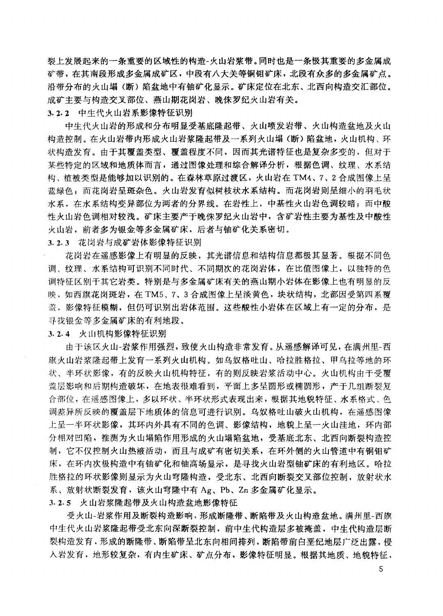裂上发展起来的一条重要的区域性的构造-火山岩浆带。同时也是一条极其重要的多金属成 矿带,在其南段形成多金属成矿区,中段有八大关等铜钼矿床,北段有众多的多金属矿点。 沿带分布的火山塌(断)陷盆地中有铀矿化显示。矿床定位在北东、北西向构造交汇部位。 成矿主要与构造交叉部位、燕山期花岗岩、晚侏罗纪火山岩有关。 3.2.2 中生代火山岩系影像特征识别

中生代火山岩的形成和分布明显受基底隆起带、火山喷发岩带、火山构造盆地及火山 构造控制。在火山岩带内形成火山岩浆隆起带及一系列火山塌(断)陷盆地,火山机构、环 状构造发育。由于其覆盖类型、覆盖程度不同,因而其光谱特征也是复杂多变的,但对于 某些特定的区域和地质体而言,通过图像处理和综合解译分析,根据色调、纹理、水系结 构、植被类型是能够加以识别的。在森林草原过渡区,火山岩在 TM4、7、2 合成图像上呈 蓝绿色;而花岗岩呈斑杂色。火山岩发育似树枝状水系结构。而花岗岩则呈细小的羽毛状 水系, 在水系结构变异部位为两者的分界线。在岩性上, 中基性火山岩色调较暗; 而中酸 性火山岩色调相对较浅。矿床主要产于晚侏罗纪火山岩中,含矿岩性主要为基性及中酸性 火山岩, 前者多为银金等多金属矿床, 后者与铀矿化关系密切。

3.2.3 花岗岩与成矿岩体影像特征识别

花岗岩在遥感影像上有明显的反映,其光谱信息和结构信息都极其显著。根据不同色 调、纹理、水系结构可识别不同时代、不同期次的花岗岩体, 在比值图像上, 以独特的色 调特征区别于其它岩类。特别是与多金属矿床有关的燕山期小岩体在影像上也有明显的反 映, 如西旗花岗斑岩, 在 TM5、7、3 合成图像上呈淡黄色, 块状结构, 北部因受第四系覆 盖,影像特征模糊,但仍可识别出岩体范围。这些酸性小岩体在区域上有一定的分布,是 寻找银金等多金属矿床的有利地段。

3.2.4 火山机构影像特征识别

由于该区火山-岩浆作用强烈,致使火山构造非常发育。从遥感解译可见,在满州里-西 旗火山岩浆隆起带上发育一系列火山机构。如乌奴格吐山、哈拉胜格拉、甲乌拉等地的环 状、半环状影像,有的反映火山机构特征,有的则反映岩浆活动中心。火山机构由于受覆 盖层影响和后期构造破坏,在地表很难看到,平面上多呈圆形或椭圆形,产于几组断裂复 合部位, 在遥感图像上, 多以环状、半环状形式表现出来, 根据其地貌特征、水系格式、色 调差异所反映的覆盖层下地质体的信息可进行识别。乌奴格吐山破火山机构,在遥感图像 上呈一半环状影像, 其环内外具有不同的色调、影像结构, 地貌上呈一火山洼地, 环内部 分相对凹陷,推测为火山塌陷作用形成的火山塌陷盆地,受基底北东、北西向断裂构造控 制,它不仅控制火山热液活动,而且与成矿有密切关系,在环外侧的火山管道中有铜钼矿 床, 在环内次极构造中有铀矿化和铀高场显示, 是寻找火山岩型铀矿床的有利地区。哈拉 胜格拉的环状影像则显示为火山穹隆构造, 受北东、北西向断裂交叉部位控制, 放射状水 系、放射状断裂发育,该火山穹隆中有 Ag、Pb、Zn 多金属矿化显示。

3.2.5 火山岩浆隆起带及火山构造盆地影像特征

受火山-岩浆作用及断裂构造影响,形成断降带、断陷带及火山构造盆地。满州里-西旗 中生代火山岩浆隆起带受北东向深断裂控制,前中生代构造层多被掩盖,中生代构造层断 裂构造发育,形成的断隆带、断陷带呈北东向相间排列,断陷带前白垩纪地层广泛出露,侵 入岩发育,地形较复杂,有内生矿床、矿点分布,影像特征明显。根据其地质、地貌特征,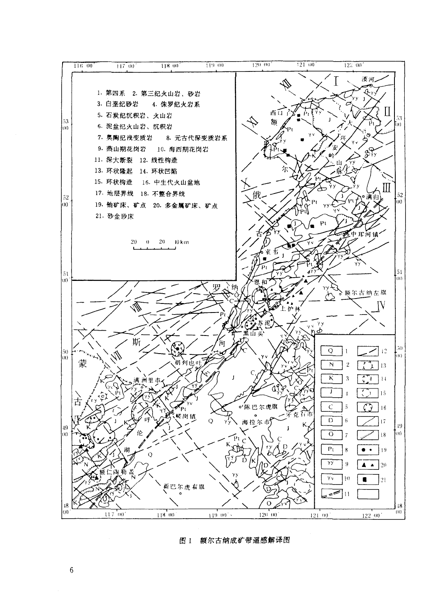

图 1 额尔古纳成矿带遥感解译图

 $\boldsymbol{6}$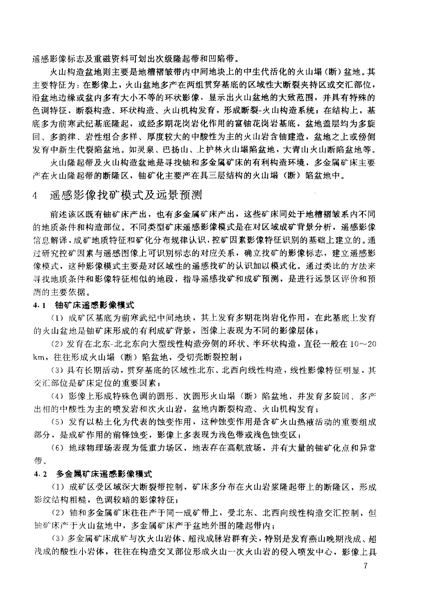谣感影像标志及重磁资料可划出次级降起带和凹陷带。

火山构造盆地则主要是地槽褶皱带内中间地块上的中生代活化的火山塌(断)盆地。其 主要特征为: 在影像上, 火山盆地多产在两组贯穿基底的区域性大断裂夹持区或交汇部位, 沿盆地边缘或盆内多有大小不等的环状影像,显示出火山盆地的大致范围,并具有特殊的 色调特征,断裂构造、环状构造、火山机构发育,形成断裂-火山构造系统;在结构上,基 底多为前寒武纪基底隆起,或经多期花岗岩化作用的富铀花岗岩基底,盆地盖层均为多旋 回、多韵律、岩性组合多样、厚度较大的中酸性为主的火山岩含铀建造, 盆地之上或傍侧 发育中新生代裂陷盆地。如灵泉、巴扬山、上护林火山塌陷盆地,大青山火山断陷盆地等。

火山隆起带及火山构造盆地是寻找铀和多金属矿床的有利构造环境,多金属矿床主要 产在火山隆起带的断隆区,铀矿化主要产在具三层结构的火山塌(断)陷盆地中。

#### 谣感影像找矿模式及远景预测  $\overline{4}$

前述该区既有铀矿床产出,也有多金属矿床产出,这些矿床同处于地槽褶皱系内不同 的地质条件和构造部位。不同类型矿床遥感影像模式是在对区域成矿背景分析, 谣感影像 信息解译, 成矿地质特征和矿化分布规律认识, 控矿因素影像特征识别的基础上建立的。通 过研究控矿因素与遥感图像上可识别标志的对应关系,确立找矿的影像标志,建立遥感影 像模式,这种影像模式主要是对区域性的遥感找矿的认识加以模式化。通过类比的方法来 寻找地质条件和影像特征相似的地段,指导遥感找矿和成矿预测,是进行远景区评价和预 测的主要依据。

## 4.1 铀矿床遥感影像模式

(1) 成矿区基底为前寒武纪中间地块, 其上发育多期花岗岩化作用, 在此基底上发育 的火山盆地是铀矿床形成的有利成矿背景,图像上表现为不同的影像层体;

(2) 发育在北东-北北东向大型线性构造旁侧的环状、半环状构造, 直径一般在 10~20 km, 往往形成火山塌(断)陷盆地, 受切壳断裂控制;

(3) 具有长期活动, 贯穿基底的区域性北东、北西向线性构造, 线性影像特征明显, 其 交汇部位是矿床定位的重要因素;

(4) 影像上形成特殊色调的圆形、次圆形火山塌(断) 陷盆地, 并发育多旋回、多产 出相的中酸性为主的喷发岩和次火山岩,盆地内断裂构造、火山机构发育;

(5) 发育以粘土化为代表的蚀变作用, 这种蚀变作用是含矿火山热液活动的重要组成 部分,是成矿作用的前锋蚀变,影像上多表现为浅色带或浅色蚀变区;

(6) 地球物理场表现为低重力场区, 地表存在高航放场, 并有大量的铀矿化点和异常 带。

## 4.2 多金属矿床谣感影像模式

(1) 成矿区受区域深大断裂带控制, 矿床多分布在火山岩浆隆起带上的断隆区, 形成 影纹结构粗糙,色调较暗的影像特征;

(2) 铀和多金属矿床往往产于同一成矿带上, 受北东、北西向线性构造交汇控制, 但 铀矿床产于火山盆地中,多金属矿床产于盆地外围的隆起带内;

(3) 多金属矿床成矿与次火山岩体、超浅成脉岩群有关,特别是发育燕山晚期浅成、超 浅成的酸性小岩体, 往往在构造交叉部位形成火山一次火山岩的侵入喷发中心, 影像上具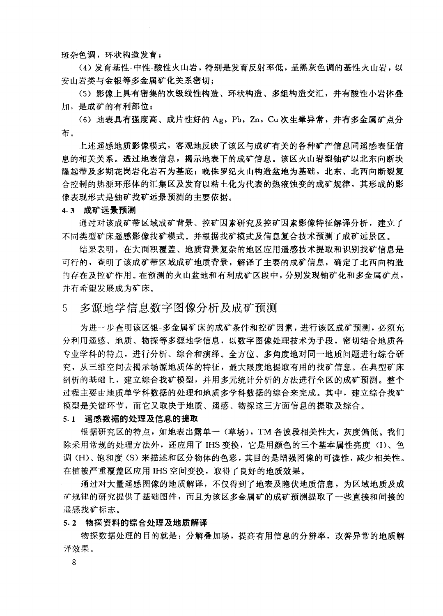斑杂色调,环状构造发育;

(4) 发育基性-中性-酸性火山岩, 特别是发育反射率低, 呈黑灰色调的基性火山岩, 以 安山岩类与金银等多金属矿化关系密切:

(5) 影像上具有密集的次级线性构造、环状构造、多组构造交汇,并有酸性小岩体叠 加, 是成矿的有利部位;

(6) 地表具有强度高、成片性好的 Ag, Pb, Zn, Cu 次生晕异常, 并有多金属矿点分 布。

上述遥感地质影像模式, 客观地反映了该区与成矿有关的各种矿产信息同遥感表征信 息的相关关系。透过地表信息,揭示地表下的成矿信息。该区火山岩型铀矿以北东向断块 降起带及多期花岗岩化岩石为基底; 晚侏罗纪火山构造盆地为基础, 北东、北西向断裂复 合控制的热源环形体的汇集区及发育以粘土化为代表的热液蚀变的成矿规律,其形成的影 像表现形式是铀矿找矿远景预测的主要依据。

### 4.3 成矿远景预测

通过对该成矿带区域成矿背景、控矿因素研究及控矿因素影像特征解译分析,建立了 不同类型矿床谣感影像找矿模式。并根据找矿模式及信息复合技术预测了成矿远景区。

结果表明,在大面积覆盖、地质背景复杂的地区应用遥感技术提取和识别找矿信息是 可行的, 查明了该成矿带区域成矿地质背景, 解译了主要的成矿信息, 确定了北西向构造 的存在及控矿作用。在预测的火山盆地和有利成矿区段中,分别发现铀矿化和多金属矿点, 并有希望发展成为矿床。

#### 多源地学信息数字图像分析及成矿预测 5.

为进一步查明该区银-多金属矿床的成矿条件和控矿因素,进行该区成矿预测,必须充 分利用遥感、地质、物探等多源地学信息,以数字图像处理技术为手段,密切结合地质各 专业学科的特点,进行分析、综合和演绎。全方位、多角度地对同一地质问题进行综合研 究, 从三维空间去揭示场源地质体的特征, 最大限度地提取有用的找矿信息。在典型矿床 剖析的基础上,建立综合找矿模型,并用多元统计分析的方法进行全区的成矿预测。整个 过程主要由地质单学科数据的处理和地质多学科数据的综合来完成。其中,建立综合找矿 模型是关键环节,而它又取决于地质、遥感、物探这三方面信息的提取及综合。

## 5.1 遥感数据的处理及信息的提取

根据研究区的特点, 如地表出露单一(草场), TM 各波段相关性大, 灰度偏低。我们 除采用常规的处理方法外,还应用了 IHS 变换,它是用颜色的三个基本属性亮度 (I)、色 调(H)、饱和度(S)来描述和区分物体的色彩,其目的是增强图像的可读性,减少相关性。 在植被严重覆盖区应用 IHS 空间变换, 取得了良好的地质效果。

通过对大量遥感图像的地质解译,不仅得到了地表及隐伏地质信息,为区域地质及成 矿规律的研究提供了基础图件,而且为该区多金属矿的成矿预测提取了一些直接和间接的 遥感找矿标志。

### 5.2 物探资料的综合处理及地质解译

物探数据处理的目的就是: 分解叠加场, 提高有用信息的分辨率, 改善异常的地质解 译效果。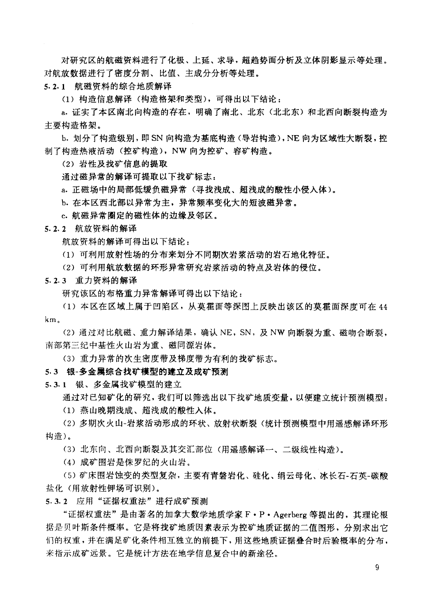对研究区的航磁资料进行了化极、上延、求导,超趋势面分析及立体阴影显示等处理。 对航放数据进行了密度分割、比值、主成分分析等处理。

5.2.1 航磁资料的综合地质解译

(1) 构造信息解译(构造格架和类型), 可得出以下结论:

a. 证实了本区南北向构造的存在, 明确了南北、北东(北北东) 和北西向断裂构造为 主要构造格架。

b. 划分了构造级别,即 SN 向构造为基底构造 (导岩构造), NE 向为区域性大断裂, 控 制了构造热液活动(控矿构造), NW 向为控矿、容矿构造。

(2) 岩性及找矿信息的提取

通过磁异常的解译可提取以下找矿标志:

a. 正磁场中的局部低缓负磁异常(寻找浅成、超浅成的酸性小侵入体)。

b. 在本区西北部以异常为主, 异常频率变化大的短波磁异常。

c. 航磁异常圈定的磁性体的边缘及邻区。

5.2.2 航放资料的解译

航放资料的解译可得出以下结论:

(1) 可利用放射性场的分布来划分不同期次岩浆活动的岩石地化特征。

(2) 可利用航放数据的环形异常研究岩浆活动的特点及岩体的侵位。

5.2.3 重力资料的解译

研究该区的布格重力异常解译可得出以下结论:

(1) 本区在区域上属于凹陷区,从摹霍面等深图上反映出该区的草霍面深度可在44  $km<sub>o</sub>$ 

(2) 通过对比航磁、重力解译结果, 确认 NE, SN, 及 NW 向断裂为重、磁吻合断裂, 南部第三纪中基性火山岩为重、磁同源岩体。

(3) 重力异常的次生密度带及梯度带为有利的找矿标志。

5.3 银-多金属综合找矿模型的建立及成矿预测

5.3.1 银、多金属找矿模型的建立

通过对已知矿化的研究,我们可以筛选出以下找矿地质变量,以便建立统计预测模型:

(1) 燕山晚期浅成、超浅成的酸性入体。

(2) 多期次火山-岩浆活动形成的环状、放射状断裂(统计预测模型中用遥感解译环形 构造)。

(3) 北东向、北西向断裂及其交汇部位(用遥感解译一、二级线性构造)。

(4) 成矿围岩是侏罗纪的火山岩。

(5) 矿床围岩蚀变的类型复杂,主要有青磐岩化、硅化、绢云母化、冰长石-石英-碳酸 盐化(用放射性钾场可识别)。

5.3.2 应用"证据权重法"进行成矿预测

"证据权重法"是由著名的加拿大数学地质学家F·P·Agerberg 等提出的,其理论根 据是贝叶斯条件概率。它是将找矿地质因素表示为控矿地质证据的二值图形,分别求出它 们的权重,并在满足矿化条件相互独立的前提下,用这些地质证据叠合时后验概率的分布, 来指示成矿远景。它是统计方法在地学信息复合中的新途径。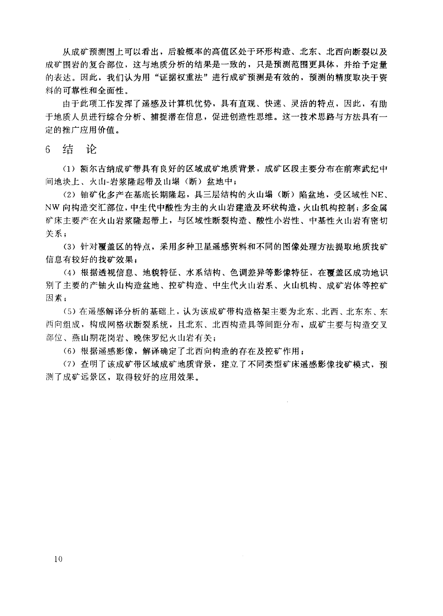从成矿预测图上可以看出,后验概率的高值区处于环形构造、北东、北西向断裂以及 成矿围岩的复合部位,这与地质分析的结果是一致的,只是预测范围更具体,并给予定量 的表达。因此,我们认为用"证据权重法"进行成矿预测是有效的,预测的精度取决于资 料的可靠性和全面性。

由于此项工作发挥了遥感及计算机优势, 具有直观、快速、灵活的特点, 因此, 有助 于地质人员进行综合分析、捕捉潜在信息,促进创造性思维。这一技术思路与方法具有一 定的推广应用价值。

结论  $6<sup>1</sup>$ 

(1) 额尔古纳成矿带具有良好的区域成矿地质背景, 成矿区段主要分布在前寒武纪中 间地块上、火山-岩浆隆起带及山塌(断)盆地中;

(2) 铀矿化多产在基底长期隆起, 具三层结构的火山塌(断) 陷盆地, 受区域性 NE、 NW 向构造交汇部位,中生代中酸性为主的火山岩建造及环状构造,火山机构控制;多金属 矿床主要产在火山岩浆隆起带上,与区域性断裂构造、酸性小岩性、中基性火山岩有密切 关系;

(3) 针对覆盖区的特点, 采用多种卫星遥感资料和不同的图像处理方法提取地质找矿 信息有较好的找矿效果;

(4) 根据透视信息、地貌特征、水系结构、色调差异等影像特征, 在覆盖区成功地识 别了主要的产铀火山构造盆地、控矿构造、中生代火山岩系、火山机构、成矿岩体等控矿 因素:

(5) 在遥感解译分析的基础上,认为该成矿带构造格架主要为北东、北西、北东东、东 西向组成,构成网格状断裂系统,且北东、北西构造具等间距分布,成矿主要与构造交叉 部位、燕山期花岗岩、晚侏罗纪火山岩有关;

(6) 根据遥感影像, 解译确定了北西向构造的存在及控矿作用:

(7) 查明了该成矿带区域成矿地质背景, 建立了不同类型矿床遥感影像找矿模式, 预 测了成矿远景区,取得较好的应用效果。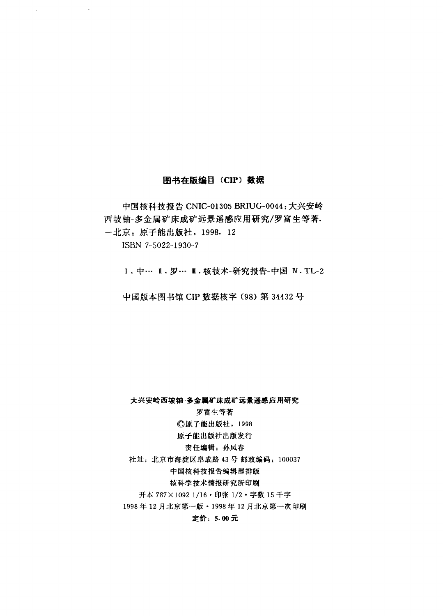## 图书在版编目 (CIP) 数据

 $\bar{\nu}$ 

中国核科技报告 CNIC-01305 BRIUG-0044: 大兴安岭 西坡铀-多金属矿床成矿远景遥感应用研究/罗富生等著. 一北京: 原子能出版社, 1998. 12 ISBN 7-5022-1930-7

Ⅰ. 中… Ⅱ. 罗… Ⅲ. 核技术-研究报告-中国 N. TL-2

中国版本图书馆 CIP 数据核字 (98) 第 34432 号

## 大兴安岭西坡铀-多金属矿床成矿远景遥感应用研究

## 罗富生等著

**C原子能出版社, 1998** 

## 原子能出版社出版发行

## 责任编辑: 孙凤春

社址: 北京市海淀区阜成路 43号 邮政编码: 100037

## 中国核科技报告编辑部排版

核科学技术情报研究所印刷

开本 787×1092 1/16 · 印张 1/2 · 字数 15 千字

1998年12月北京第一版・1998年12月北京第一次印刷

## 定价: 5.00元